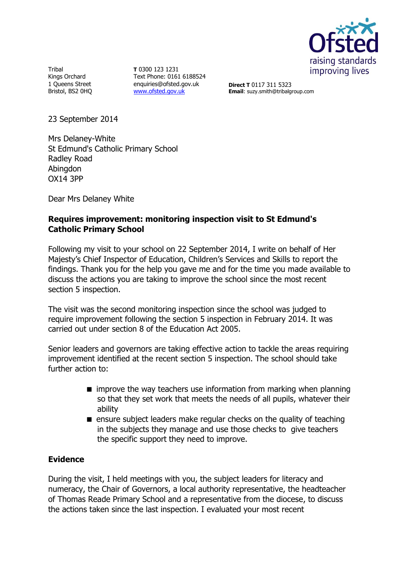

**Tribal** Kings Orchard 1 Queens Street Bristol, BS2 0HQ

**T** 0300 123 1231 Text Phone: 0161 6188524 enquiries@ofsted.gov.uk [www.ofsted.gov.uk](http://www.ofsted.gov.uk/)

**Direct T** 0117 311 5323 **Email**: suzy.smith@tribalgroup.com

23 September 2014

Mrs Delaney-White St Edmund's Catholic Primary School Radley Road Abingdon OX14 3PP

Dear Mrs Delaney White

# **Requires improvement: monitoring inspection visit to St Edmund's Catholic Primary School**

Following my visit to your school on 22 September 2014, I write on behalf of Her Majesty's Chief Inspector of Education, Children's Services and Skills to report the findings. Thank you for the help you gave me and for the time you made available to discuss the actions you are taking to improve the school since the most recent section 5 inspection.

The visit was the second monitoring inspection since the school was judged to require improvement following the section 5 inspection in February 2014. It was carried out under section 8 of the Education Act 2005.

Senior leaders and governors are taking effective action to tackle the areas requiring improvement identified at the recent section 5 inspection. The school should take further action to:

- **n** improve the way teachers use information from marking when planning so that they set work that meets the needs of all pupils, whatever their ability
- $\blacksquare$  ensure subject leaders make regular checks on the quality of teaching in the subjects they manage and use those checks to give teachers the specific support they need to improve.

## **Evidence**

During the visit, I held meetings with you, the subject leaders for literacy and numeracy, the Chair of Governors, a local authority representative, the headteacher of Thomas Reade Primary School and a representative from the diocese, to discuss the actions taken since the last inspection. I evaluated your most recent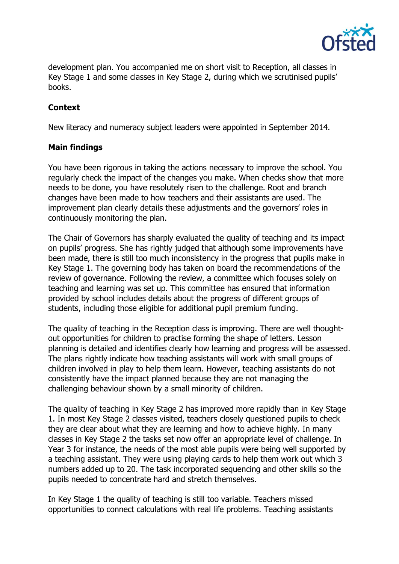

development plan. You accompanied me on short visit to Reception, all classes in Key Stage 1 and some classes in Key Stage 2, during which we scrutinised pupils' books.

# **Context**

New literacy and numeracy subject leaders were appointed in September 2014.

## **Main findings**

You have been rigorous in taking the actions necessary to improve the school. You regularly check the impact of the changes you make. When checks show that more needs to be done, you have resolutely risen to the challenge. Root and branch changes have been made to how teachers and their assistants are used. The improvement plan clearly details these adjustments and the governors' roles in continuously monitoring the plan.

The Chair of Governors has sharply evaluated the quality of teaching and its impact on pupils' progress. She has rightly judged that although some improvements have been made, there is still too much inconsistency in the progress that pupils make in Key Stage 1. The governing body has taken on board the recommendations of the review of governance. Following the review, a committee which focuses solely on teaching and learning was set up. This committee has ensured that information provided by school includes details about the progress of different groups of students, including those eligible for additional pupil premium funding.

The quality of teaching in the Reception class is improving. There are well thoughtout opportunities for children to practise forming the shape of letters. Lesson planning is detailed and identifies clearly how learning and progress will be assessed. The plans rightly indicate how teaching assistants will work with small groups of children involved in play to help them learn. However, teaching assistants do not consistently have the impact planned because they are not managing the challenging behaviour shown by a small minority of children.

The quality of teaching in Key Stage 2 has improved more rapidly than in Key Stage 1. In most Key Stage 2 classes visited, teachers closely questioned pupils to check they are clear about what they are learning and how to achieve highly. In many classes in Key Stage 2 the tasks set now offer an appropriate level of challenge. In Year 3 for instance, the needs of the most able pupils were being well supported by a teaching assistant. They were using playing cards to help them work out which 3 numbers added up to 20. The task incorporated sequencing and other skills so the pupils needed to concentrate hard and stretch themselves.

In Key Stage 1 the quality of teaching is still too variable. Teachers missed opportunities to connect calculations with real life problems. Teaching assistants